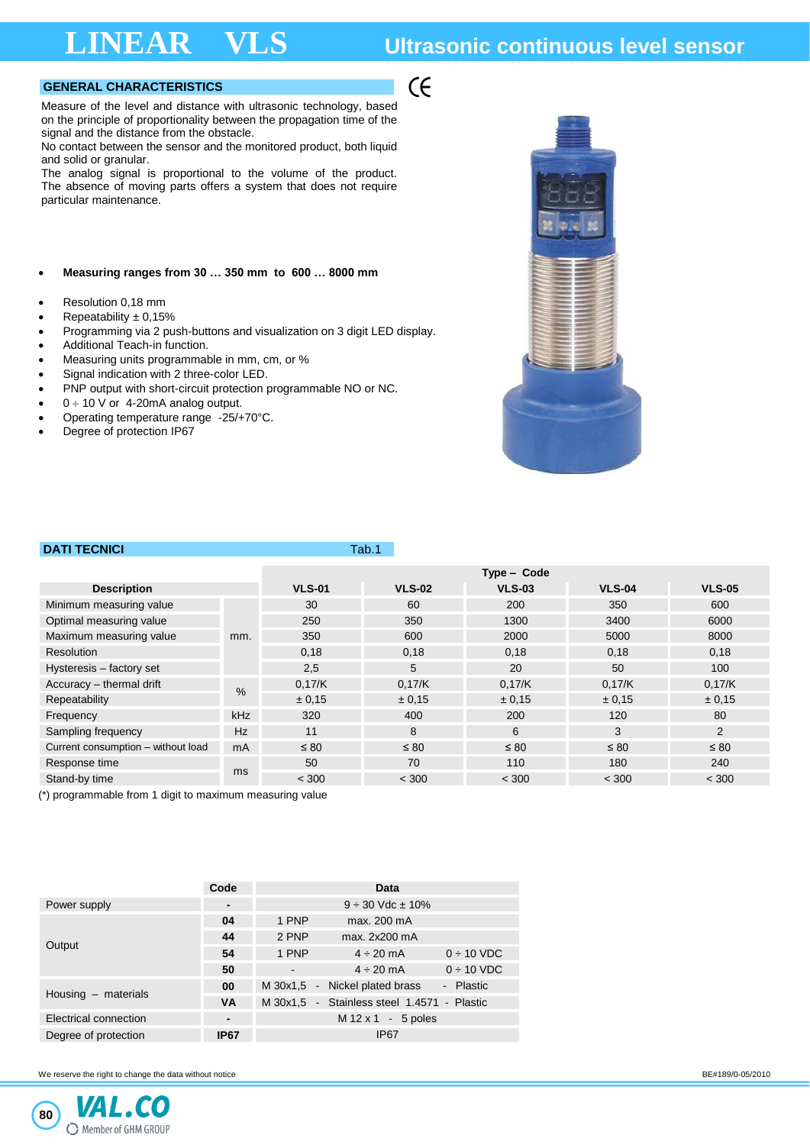## **LINEAR VLS Ultrasonic continuous level sensor**

## **GENERAL CHARACTERISTICS**

Measure of the level and distance with ultrasonic technology, based on the principle of proportionality between the propagation time of the signal and the distance from the obstacle.

No contact between the sensor and the monitored product, both liquid and solid or granular.

The analog signal is proportional to the volume of the product. The absence of moving parts offers a system that does not require particular maintenance.

### • **Measuring ranges from 30 … 350 mm to 600 … 8000 mm**

- Resolution 0,18 mm
- Repeatability  $\pm$  0,15%
- Programming via 2 push-buttons and visualization on 3 digit LED display.
- Additional Teach-in function.
- Measuring units programmable in mm, cm, or %
- Signal indication with 2 three-color LED. • PNP output with short-circuit protection programmable NO or NC.
- $0 \div 10$  V or 4-20mA analog output.
- Operating temperature range -25/+70°C.
- Degree of protection IP67



## **DATI TECNICI TABLE 2004**

|                                    |            | Type - Code   |               |               |               |               |  |
|------------------------------------|------------|---------------|---------------|---------------|---------------|---------------|--|
| <b>Description</b>                 |            | <b>VLS-01</b> | <b>VLS-02</b> | <b>VLS-03</b> | <b>VLS-04</b> | <b>VLS-05</b> |  |
| Minimum measuring value            |            | 30            | 60            | 200           | 350           | 600           |  |
| Optimal measuring value            |            | 250           | 350           | 1300          | 3400          | 6000          |  |
| Maximum measuring value            | mm.        | 350           | 600           | 2000          | 5000          | 8000          |  |
| Resolution                         |            | 0.18          | 0.18          | 0,18          | 0,18          | 0,18          |  |
| Hysteresis - factory set           |            | 2,5           | 5             | 20            | 50            | 100           |  |
| Accuracy - thermal drift           | $\%$       | 0.17/K        | 0,17/K        | 0.17/K        | 0,17/K        | 0.17/K        |  |
| Repeatability                      |            | ± 0.15        | ± 0,15        | $\pm 0.15$    | ± 0.15        | ± 0.15        |  |
| Frequency                          | <b>kHz</b> | 320           | 400           | 200           | 120           | 80            |  |
| Sampling frequency                 | Hz         | 11            | 8             | 6             | 3             | 2             |  |
| Current consumption - without load | mA         | $\leq 80$     | $\leq 80$     | $\leq 80$     | $\leq 80$     | $\leq 80$     |  |
| Response time                      |            | 50            | 70            | 110           | 180           | 240           |  |
| Stand-by time                      | ms         | < 300         | < 300         | < 300         | < 300         | < 300         |  |

 $\zeta$ 

(\*) programmable from 1 digit to maximum measuring value

|                       | Code           |       | Data                                        |                 |
|-----------------------|----------------|-------|---------------------------------------------|-----------------|
| Power supply          | -              |       | $9 \div 30$ Vdc $\pm 10\%$                  |                 |
|                       | 04             | 1 PNP | max. 200 mA                                 |                 |
|                       | 44             | 2 PNP | max. 2x200 mA                               |                 |
| Output                | 54             | 1 PNP | $4 \div 20$ mA                              | $0 \div 10$ VDC |
|                       | 50             |       | $4 \div 20$ mA                              | $0 \div 10$ VDC |
|                       | 00             |       | M 30x1,5 - Nickel plated brass              | - Plastic       |
| Housing - materials   | <b>VA</b>      |       | M 30x1,5 - Stainless steel 1.4571 - Plastic |                 |
| Electrical connection | $\blacksquare$ |       | $M$ 12 x 1 - 5 poles                        |                 |
| Degree of protection  | <b>IP67</b>    |       | IP <sub>67</sub>                            |                 |

We reserve the right to change the data without notice **BE#189/0-05/2010 BE#189/0-05/2010**